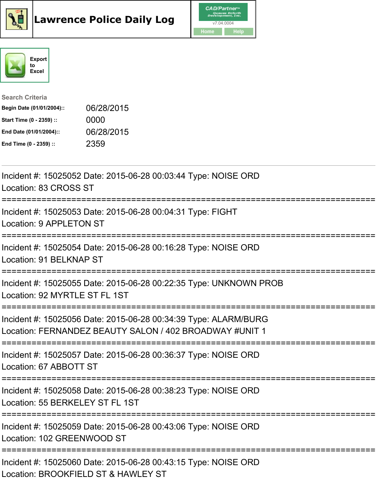





## Search Criteria

| Begin Date (01/01/2004):: | 06/28/2015 |
|---------------------------|------------|
| Start Time (0 - 2359) ::  | 0000       |
| End Date (01/01/2004)::   | 06/28/2015 |
| End Time (0 - 2359) ::    | 2359       |

| Incident #: 15025052 Date: 2015-06-28 00:03:44 Type: NOISE ORD<br>Location: 83 CROSS ST                                    |
|----------------------------------------------------------------------------------------------------------------------------|
| Incident #: 15025053 Date: 2015-06-28 00:04:31 Type: FIGHT<br>Location: 9 APPLETON ST                                      |
| Incident #: 15025054 Date: 2015-06-28 00:16:28 Type: NOISE ORD<br>Location: 91 BELKNAP ST                                  |
| Incident #: 15025055 Date: 2015-06-28 00:22:35 Type: UNKNOWN PROB<br>Location: 92 MYRTLE ST FL 1ST                         |
| Incident #: 15025056 Date: 2015-06-28 00:34:39 Type: ALARM/BURG<br>Location: FERNANDEZ BEAUTY SALON / 402 BROADWAY #UNIT 1 |
| Incident #: 15025057 Date: 2015-06-28 00:36:37 Type: NOISE ORD<br>Location: 67 ABBOTT ST                                   |
| Incident #: 15025058 Date: 2015-06-28 00:38:23 Type: NOISE ORD<br>Location: 55 BERKELEY ST FL 1ST                          |
| Incident #: 15025059 Date: 2015-06-28 00:43:06 Type: NOISE ORD<br>Location: 102 GREENWOOD ST                               |
| Incident #: 15025060 Date: 2015-06-28 00:43:15 Type: NOISE ORD<br>Location: BROOKFIELD ST & HAWLEY ST                      |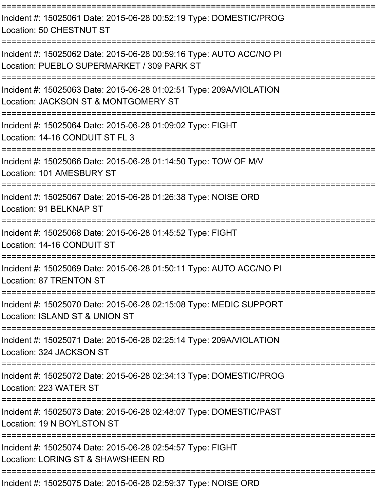| Incident #: 15025061 Date: 2015-06-28 00:52:19 Type: DOMESTIC/PROG<br>Location: 50 CHESTNUT ST                                                           |
|----------------------------------------------------------------------------------------------------------------------------------------------------------|
| Incident #: 15025062 Date: 2015-06-28 00:59:16 Type: AUTO ACC/NO PI<br>Location: PUEBLO SUPERMARKET / 309 PARK ST<br>___________________________________ |
| Incident #: 15025063 Date: 2015-06-28 01:02:51 Type: 209A/VIOLATION<br>Location: JACKSON ST & MONTGOMERY ST                                              |
| Incident #: 15025064 Date: 2015-06-28 01:09:02 Type: FIGHT<br>Location: 14-16 CONDUIT ST FL 3                                                            |
| Incident #: 15025066 Date: 2015-06-28 01:14:50 Type: TOW OF M/V<br>Location: 101 AMESBURY ST                                                             |
| Incident #: 15025067 Date: 2015-06-28 01:26:38 Type: NOISE ORD<br>Location: 91 BELKNAP ST                                                                |
| Incident #: 15025068 Date: 2015-06-28 01:45:52 Type: FIGHT<br>Location: 14-16 CONDUIT ST<br>================                                             |
| Incident #: 15025069 Date: 2015-06-28 01:50:11 Type: AUTO ACC/NO PI<br>Location: 87 TRENTON ST                                                           |
| Incident #: 15025070 Date: 2015-06-28 02:15:08 Type: MEDIC SUPPORT<br>Location: ISLAND ST & UNION ST                                                     |
| Incident #: 15025071 Date: 2015-06-28 02:25:14 Type: 209A/VIOLATION<br>Location: 324 JACKSON ST                                                          |
| Incident #: 15025072 Date: 2015-06-28 02:34:13 Type: DOMESTIC/PROG<br>Location: 223 WATER ST                                                             |
| Incident #: 15025073 Date: 2015-06-28 02:48:07 Type: DOMESTIC/PAST<br>Location: 19 N BOYLSTON ST<br>======================                               |
| Incident #: 15025074 Date: 2015-06-28 02:54:57 Type: FIGHT<br>Location: LORING ST & SHAWSHEEN RD                                                         |
|                                                                                                                                                          |

Incident #: 15025075 Date: 2015-06-28 02:59:37 Type: NOISE ORD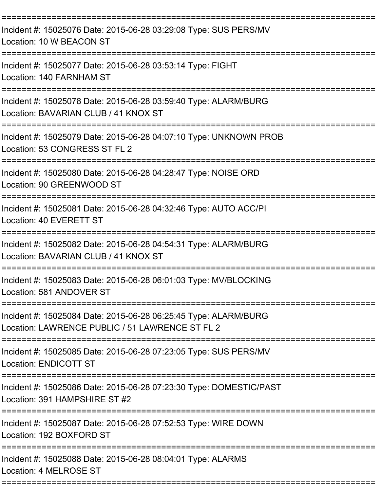| Incident #: 15025076 Date: 2015-06-28 03:29:08 Type: SUS PERS/MV<br>Location: 10 W BEACON ST                       |
|--------------------------------------------------------------------------------------------------------------------|
| Incident #: 15025077 Date: 2015-06-28 03:53:14 Type: FIGHT<br>Location: 140 FARNHAM ST                             |
| Incident #: 15025078 Date: 2015-06-28 03:59:40 Type: ALARM/BURG<br>Location: BAVARIAN CLUB / 41 KNOX ST            |
| Incident #: 15025079 Date: 2015-06-28 04:07:10 Type: UNKNOWN PROB<br>Location: 53 CONGRESS ST FL 2                 |
| Incident #: 15025080 Date: 2015-06-28 04:28:47 Type: NOISE ORD<br>Location: 90 GREENWOOD ST                        |
| Incident #: 15025081 Date: 2015-06-28 04:32:46 Type: AUTO ACC/PI<br>Location: 40 EVERETT ST                        |
| Incident #: 15025082 Date: 2015-06-28 04:54:31 Type: ALARM/BURG<br>Location: BAVARIAN CLUB / 41 KNOX ST            |
| Incident #: 15025083 Date: 2015-06-28 06:01:03 Type: MV/BLOCKING<br>Location: 581 ANDOVER ST                       |
| Incident #: 15025084 Date: 2015-06-28 06:25:45 Type: ALARM/BURG<br>Location: LAWRENCE PUBLIC / 51 LAWRENCE ST FL 2 |
| Incident #: 15025085 Date: 2015-06-28 07:23:05 Type: SUS PERS/MV<br>Location: ENDICOTT ST                          |
| Incident #: 15025086 Date: 2015-06-28 07:23:30 Type: DOMESTIC/PAST<br>Location: 391 HAMPSHIRE ST #2                |
| Incident #: 15025087 Date: 2015-06-28 07:52:53 Type: WIRE DOWN<br>Location: 192 BOXFORD ST                         |
| Incident #: 15025088 Date: 2015-06-28 08:04:01 Type: ALARMS<br>Location: 4 MELROSE ST                              |
|                                                                                                                    |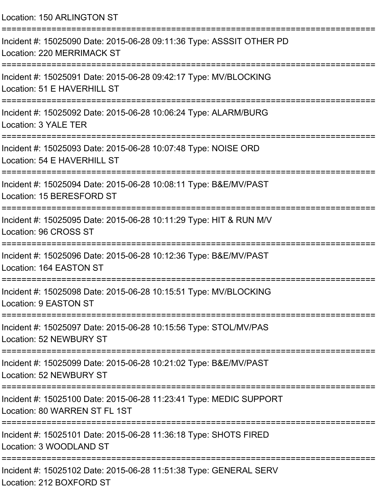| Location: 150 ARLINGTON ST                                                                                          |
|---------------------------------------------------------------------------------------------------------------------|
| Incident #: 15025090 Date: 2015-06-28 09:11:36 Type: ASSSIT OTHER PD<br>Location: 220 MERRIMACK ST                  |
| Incident #: 15025091 Date: 2015-06-28 09:42:17 Type: MV/BLOCKING<br>Location: 51 E HAVERHILL ST                     |
| Incident #: 15025092 Date: 2015-06-28 10:06:24 Type: ALARM/BURG<br>Location: 3 YALE TER                             |
| Incident #: 15025093 Date: 2015-06-28 10:07:48 Type: NOISE ORD<br>Location: 54 E HAVERHILL ST                       |
| Incident #: 15025094 Date: 2015-06-28 10:08:11 Type: B&E/MV/PAST<br>Location: 15 BERESFORD ST                       |
| Incident #: 15025095 Date: 2015-06-28 10:11:29 Type: HIT & RUN M/V<br>Location: 96 CROSS ST                         |
| ====================<br>Incident #: 15025096 Date: 2015-06-28 10:12:36 Type: B&E/MV/PAST<br>Location: 164 EASTON ST |
| Incident #: 15025098 Date: 2015-06-28 10:15:51 Type: MV/BLOCKING<br><b>Location: 9 EASTON ST</b>                    |
| Incident #: 15025097 Date: 2015-06-28 10:15:56 Type: STOL/MV/PAS<br>Location: 52 NEWBURY ST                         |
| Incident #: 15025099 Date: 2015-06-28 10:21:02 Type: B&E/MV/PAST<br>Location: 52 NEWBURY ST                         |
| Incident #: 15025100 Date: 2015-06-28 11:23:41 Type: MEDIC SUPPORT<br>Location: 80 WARREN ST FL 1ST                 |
| Incident #: 15025101 Date: 2015-06-28 11:36:18 Type: SHOTS FIRED<br>Location: 3 WOODLAND ST                         |
| Incident #: 15025102 Date: 2015-06-28 11:51:38 Type: GENERAL SERV<br>Location: 212 BOXFORD ST                       |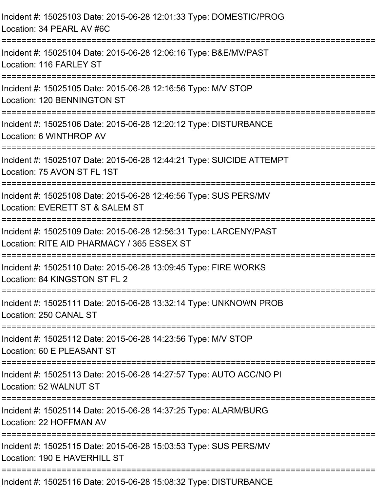| Incident #: 15025103 Date: 2015-06-28 12:01:33 Type: DOMESTIC/PROG<br>Location: 34 PEARL AV #6C                  |
|------------------------------------------------------------------------------------------------------------------|
| Incident #: 15025104 Date: 2015-06-28 12:06:16 Type: B&E/MV/PAST<br>Location: 116 FARLEY ST                      |
| Incident #: 15025105 Date: 2015-06-28 12:16:56 Type: M/V STOP<br>Location: 120 BENNINGTON ST<br>================ |
| Incident #: 15025106 Date: 2015-06-28 12:20:12 Type: DISTURBANCE<br>Location: 6 WINTHROP AV                      |
| Incident #: 15025107 Date: 2015-06-28 12:44:21 Type: SUICIDE ATTEMPT<br>Location: 75 AVON ST FL 1ST              |
| Incident #: 15025108 Date: 2015-06-28 12:46:56 Type: SUS PERS/MV<br>Location: EVERETT ST & SALEM ST              |
| Incident #: 15025109 Date: 2015-06-28 12:56:31 Type: LARCENY/PAST<br>Location: RITE AID PHARMACY / 365 ESSEX ST  |
| Incident #: 15025110 Date: 2015-06-28 13:09:45 Type: FIRE WORKS<br>Location: 84 KINGSTON ST FL 2                 |
| Incident #: 15025111 Date: 2015-06-28 13:32:14 Type: UNKNOWN PROB<br>Location: 250 CANAL ST                      |
| Incident #: 15025112 Date: 2015-06-28 14:23:56 Type: M/V STOP<br>Location: 60 E PLEASANT ST                      |
| Incident #: 15025113 Date: 2015-06-28 14:27:57 Type: AUTO ACC/NO PI<br>Location: 52 WALNUT ST                    |
| Incident #: 15025114 Date: 2015-06-28 14:37:25 Type: ALARM/BURG<br>Location: 22 HOFFMAN AV                       |
| Incident #: 15025115 Date: 2015-06-28 15:03:53 Type: SUS PERS/MV<br>Location: 190 E HAVERHILL ST                 |
|                                                                                                                  |

Incident #: 15025116 Date: 2015-06-28 15:08:32 Type: DISTURBANCE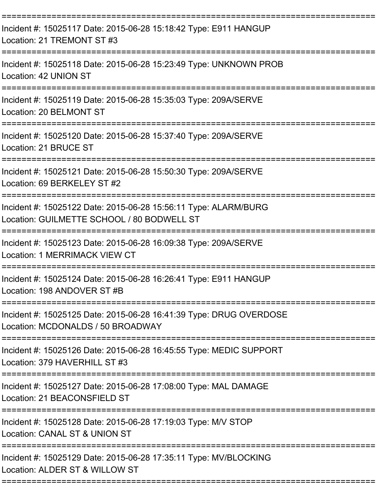| Incident #: 15025117 Date: 2015-06-28 15:18:42 Type: E911 HANGUP<br>Location: 21 TREMONT ST #3                                         |
|----------------------------------------------------------------------------------------------------------------------------------------|
| Incident #: 15025118 Date: 2015-06-28 15:23:49 Type: UNKNOWN PROB<br>Location: 42 UNION ST                                             |
| Incident #: 15025119 Date: 2015-06-28 15:35:03 Type: 209A/SERVE<br>Location: 20 BELMONT ST<br>=================                        |
| Incident #: 15025120 Date: 2015-06-28 15:37:40 Type: 209A/SERVE<br>Location: 21 BRUCE ST                                               |
| Incident #: 15025121 Date: 2015-06-28 15:50:30 Type: 209A/SERVE<br>Location: 69 BERKELEY ST #2                                         |
| Incident #: 15025122 Date: 2015-06-28 15:56:11 Type: ALARM/BURG<br>Location: GUILMETTE SCHOOL / 80 BODWELL ST                          |
| Incident #: 15025123 Date: 2015-06-28 16:09:38 Type: 209A/SERVE<br>Location: 1 MERRIMACK VIEW CT<br>================================== |
| Incident #: 15025124 Date: 2015-06-28 16:26:41 Type: E911 HANGUP<br>Location: 198 ANDOVER ST #B                                        |
| Incident #: 15025125 Date: 2015-06-28 16:41:39 Type: DRUG OVERDOSE<br>Location: MCDONALDS / 50 BROADWAY                                |
| Incident #: 15025126 Date: 2015-06-28 16:45:55 Type: MEDIC SUPPORT<br>Location: 379 HAVERHILL ST #3                                    |
| Incident #: 15025127 Date: 2015-06-28 17:08:00 Type: MAL DAMAGE<br>Location: 21 BEACONSFIELD ST                                        |
| Incident #: 15025128 Date: 2015-06-28 17:19:03 Type: M/V STOP<br>Location: CANAL ST & UNION ST                                         |
| :===========<br>Incident #: 15025129 Date: 2015-06-28 17:35:11 Type: MV/BLOCKING<br>Location: ALDER ST & WILLOW ST                     |
|                                                                                                                                        |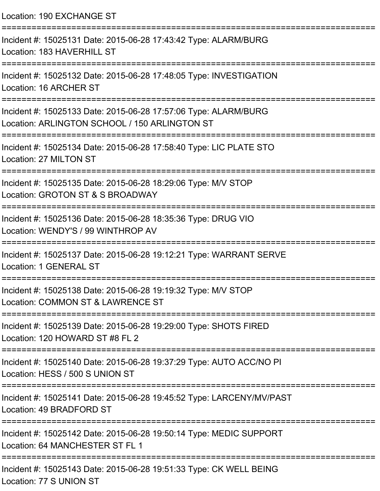| Location: 190 EXCHANGE ST                                                                                        |
|------------------------------------------------------------------------------------------------------------------|
| Incident #: 15025131 Date: 2015-06-28 17:43:42 Type: ALARM/BURG<br>Location: 183 HAVERHILL ST                    |
| Incident #: 15025132 Date: 2015-06-28 17:48:05 Type: INVESTIGATION<br>Location: 16 ARCHER ST                     |
| Incident #: 15025133 Date: 2015-06-28 17:57:06 Type: ALARM/BURG<br>Location: ARLINGTON SCHOOL / 150 ARLINGTON ST |
| Incident #: 15025134 Date: 2015-06-28 17:58:40 Type: LIC PLATE STO<br>Location: 27 MILTON ST                     |
| Incident #: 15025135 Date: 2015-06-28 18:29:06 Type: M/V STOP<br>Location: GROTON ST & S BROADWAY                |
| Incident #: 15025136 Date: 2015-06-28 18:35:36 Type: DRUG VIO<br>Location: WENDY'S / 99 WINTHROP AV              |
| Incident #: 15025137 Date: 2015-06-28 19:12:21 Type: WARRANT SERVE<br>Location: 1 GENERAL ST                     |
| Incident #: 15025138 Date: 2015-06-28 19:19:32 Type: M/V STOP<br>Location: COMMON ST & LAWRENCE ST               |
| Incident #: 15025139 Date: 2015-06-28 19:29:00 Type: SHOTS FIRED<br>Location: 120 HOWARD ST #8 FL 2              |
| Incident #: 15025140 Date: 2015-06-28 19:37:29 Type: AUTO ACC/NO PI<br>Location: HESS / 500 S UNION ST           |
| Incident #: 15025141 Date: 2015-06-28 19:45:52 Type: LARCENY/MV/PAST<br>Location: 49 BRADFORD ST                 |
| Incident #: 15025142 Date: 2015-06-28 19:50:14 Type: MEDIC SUPPORT<br>Location: 64 MANCHESTER ST FL 1            |
| Incident #: 15025143 Date: 2015-06-28 19:51:33 Type: CK WELL BEING<br>Location: 77 S UNION ST                    |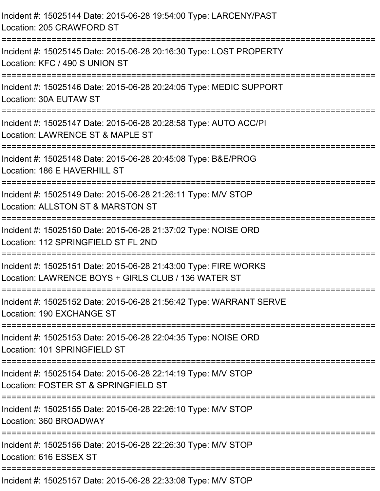| Incident #: 15025144 Date: 2015-06-28 19:54:00 Type: LARCENY/PAST<br>Location: 205 CRAWFORD ST                                             |
|--------------------------------------------------------------------------------------------------------------------------------------------|
| Incident #: 15025145 Date: 2015-06-28 20:16:30 Type: LOST PROPERTY<br>Location: KFC / 490 S UNION ST<br>==================<br>============ |
| Incident #: 15025146 Date: 2015-06-28 20:24:05 Type: MEDIC SUPPORT<br>Location: 30A EUTAW ST                                               |
| Incident #: 15025147 Date: 2015-06-28 20:28:58 Type: AUTO ACC/PI<br>Location: LAWRENCE ST & MAPLE ST                                       |
| Incident #: 15025148 Date: 2015-06-28 20:45:08 Type: B&E/PROG<br>Location: 186 E HAVERHILL ST                                              |
| Incident #: 15025149 Date: 2015-06-28 21:26:11 Type: M/V STOP<br>Location: ALLSTON ST & MARSTON ST                                         |
| Incident #: 15025150 Date: 2015-06-28 21:37:02 Type: NOISE ORD<br>Location: 112 SPRINGFIELD ST FL 2ND                                      |
| Incident #: 15025151 Date: 2015-06-28 21:43:00 Type: FIRE WORKS<br>Location: LAWRENCE BOYS + GIRLS CLUB / 136 WATER ST                     |
| Incident #: 15025152 Date: 2015-06-28 21:56:42 Type: WARRANT SERVE<br>Location: 190 EXCHANGE ST                                            |
| Incident #: 15025153 Date: 2015-06-28 22:04:35 Type: NOISE ORD<br>Location: 101 SPRINGFIELD ST                                             |
| Incident #: 15025154 Date: 2015-06-28 22:14:19 Type: M/V STOP<br>Location: FOSTER ST & SPRINGFIELD ST                                      |
| Incident #: 15025155 Date: 2015-06-28 22:26:10 Type: M/V STOP<br>Location: 360 BROADWAY                                                    |
| Incident #: 15025156 Date: 2015-06-28 22:26:30 Type: M/V STOP<br>Location: 616 ESSEX ST                                                    |
| Incident #: 15025157 Date: 2015-06-28 22:33:08 Type: M/V STOP                                                                              |